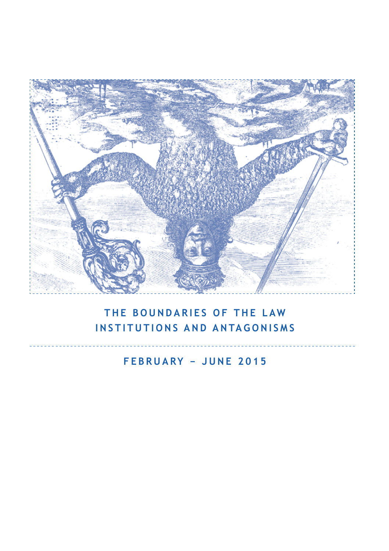

## **THE BOUNDARIES OF THE LAW INSTITUTIONS AND ANTAGONISMS**

**FEBRUARY − JUNE 2015**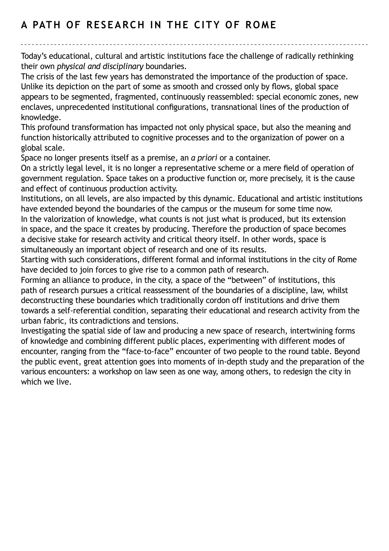## **A PATH OF RESEARCH IN THE CITY OF ROME**

Today's educational, cultural and artistic institutions face the challenge of radically rethinking their own *physical and disciplinary* boundaries.

The crisis of the last few years has demonstrated the importance of the production of space. Unlike its depiction on the part of some as smooth and crossed only by flows, global space appears to be segmented, fragmented, continuously reassembled: special economic zones, new enclaves, unprecedented institutional configurations, transnational lines of the production of knowledge.

This profound transformation has impacted not only physical space, but also the meaning and function historically attributed to cognitive processes and to the organization of power on a global scale.

Space no longer presents itself as a premise, an *a priori* or a container.

On a strictly legal level, it is no longer a representative scheme or a mere field of operation of government regulation. Space takes on a productive function or, more precisely, it is the cause and effect of continuous production activity.

Institutions, on all levels, are also impacted by this dynamic. Educational and artistic institutions have extended beyond the boundaries of the campus or the museum for some time now. In the valorization of knowledge, what counts is not just what is produced, but its extension in space, and the space it creates by producing. Therefore the production of space becomes a decisive stake for research activity and critical theory itself. In other words, space is simultaneously an important object of research and one of its results.

Starting with such considerations, different formal and informal institutions in the city of Rome have decided to join forces to give rise to a common path of research.

Forming an alliance to produce, in the city, a space of the "between" of institutions, this path of research pursues a critical reassessment of the boundaries of a discipline, law, whilst deconstructing these boundaries which traditionally cordon off institutions and drive them towards a self-referential condition, separating their educational and research activity from the urban fabric, its contradictions and tensions.

Investigating the spatial side of law and producing a new space of research, intertwining forms of knowledge and combining different public places, experimenting with different modes of encounter, ranging from the "face-to-face" encounter of two people to the round table. Beyond the public event, great attention goes into moments of in-depth study and the preparation of the various encounters: a workshop on law seen as one way, among others, to redesign the city in which we live.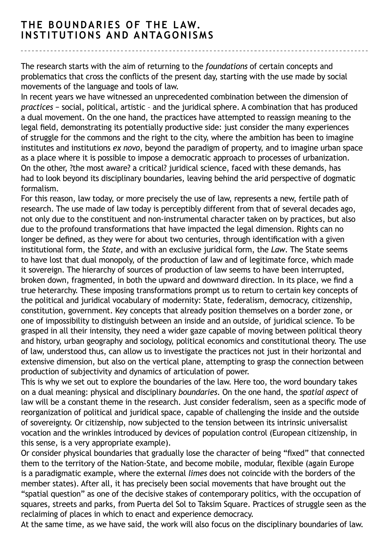## **THE BOUNDARIES OF THE LAW. INSTITUTIONS AND ANTAGONISMS**

The research starts with the aim of returning to the *foundations* of certain concepts and problematics that cross the conflicts of the present day, starting with the use made by social movements of the language and tools of law.

In recent years we have witnessed an unprecedented combination between the dimension of *practices* − social, political, artistic – and the juridical sphere. A combination that has produced a dual movement. On the one hand, the practices have attempted to reassign meaning to the legal field, demonstrating its potentially productive side: just consider the many experiences of struggle for the commons and the right to the city, where the ambition has been to imagine institutes and institutions *ex novo*, beyond the paradigm of property, and to imagine urban space as a place where it is possible to impose a democratic approach to processes of urbanization. On the other, ?the most aware? a critical? juridical science, faced with these demands, has had to look beyond its disciplinary boundaries, leaving behind the arid perspective of dogmatic formalism.

For this reason, law today, or more precisely the use of law, represents a new, fertile path of research. The use made of law today is perceptibly different from that of several decades ago, not only due to the constituent and non-instrumental character taken on by practices, but also due to the profound transformations that have impacted the legal dimension. Rights can no longer be defined, as they were for about two centuries, through identification with a given institutional form, the *State*, and with an exclusive juridical form, the *Law*. The State seems to have lost that dual monopoly, of the production of law and of legitimate force, which made it sovereign. The hierarchy of sources of production of law seems to have been interrupted, broken down, fragmented, in both the upward and downward direction. In its place, we find a true heterarchy. These imposing transformations prompt us to return to certain key concepts of the political and juridical vocabulary of modernity: State, federalism, democracy, citizenship, constitution, government. Key concepts that already position themselves on a border zone, or one of impossibility to distinguish between an inside and an outside, of juridical science. To be grasped in all their intensity, they need a wider gaze capable of moving between political theory and history, urban geography and sociology, political economics and constitutional theory. The use of law, understood thus, can allow us to investigate the practices not just in their horizontal and extensive dimension, but also on the vertical plane, attempting to grasp the connection between production of subjectivity and dynamics of articulation of power.

This is why we set out to explore the boundaries of the law. Here too, the word boundary takes on a dual meaning: physical and disciplinary *boundaries*. On the one hand, the *spatial aspect* of law will be a constant theme in the research. Just consider federalism, seen as a specific mode of reorganization of political and juridical space, capable of challenging the inside and the outside of sovereignty. Or citizenship, now subjected to the tension between its intrinsic universalist vocation and the wrinkles introduced by devices of population control (European citizenship, in this sense, is a very appropriate example).

Or consider physical boundaries that gradually lose the character of being "fixed" that connected them to the territory of the Nation-State, and become mobile, modular, flexible (again Europe is a paradigmatic example, where the external *limes* does not coincide with the borders of the member states). After all, it has precisely been social movements that have brought out the "spatial question" as one of the decisive stakes of contemporary politics, with the occupation of squares, streets and parks, from Puerta del Sol to Taksim Square. Practices of struggle seen as the reclaiming of places in which to enact and experience democracy.

At the same time, as we have said, the work will also focus on the disciplinary boundaries of law.